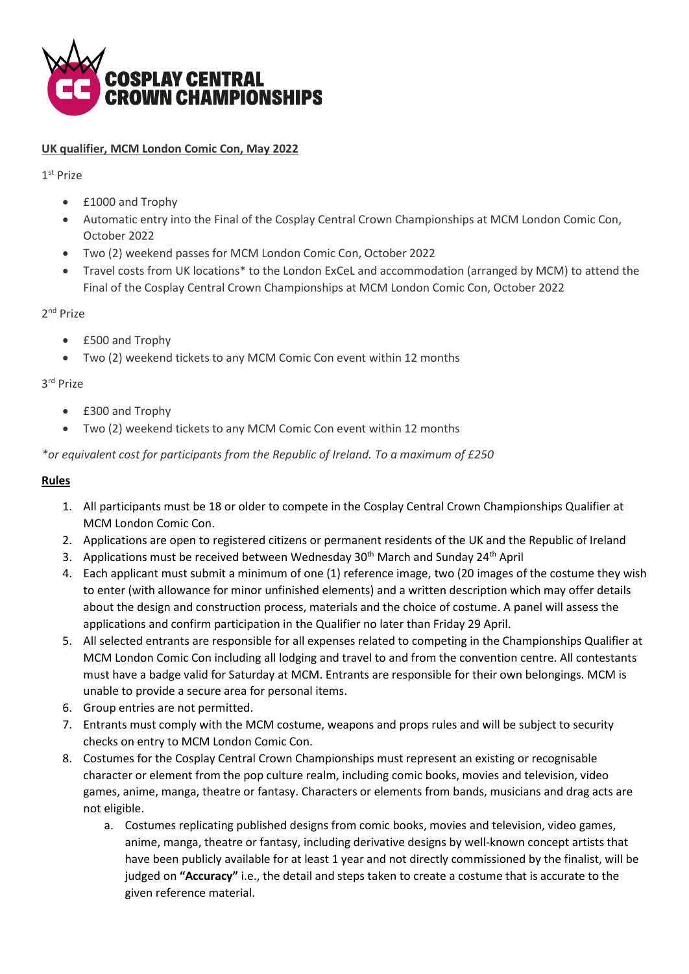

## **UK qualifier, MCM London Comic Con, May 2022**

1 st Prize

- £1000 and Trophy
- Automatic entry into the Final of the Cosplay Central Crown Championships at MCM London Comic Con, October 2022
- Two (2) weekend passes for MCM London Comic Con, October 2022
- Travel costs from UK locations\* to the London ExCeL and accommodation (arranged by MCM) to attend the Final of the Cosplay Central Crown Championships at MCM London Comic Con, October 2022

2<sup>nd</sup> Prize

- £500 and Trophy
- Two (2) weekend tickets to any MCM Comic Con event within 12 months

## 3 rd Prize

- £300 and Trophy
- Two (2) weekend tickets to any MCM Comic Con event within 12 months

*\*or equivalent cost for participants from the Republic of Ireland. To a maximum of £250*

## **Rules**

- 1. All participants must be 18 or older to compete in the Cosplay Central Crown Championships Qualifier at MCM London Comic Con.
- 2. Applications are open to registered citizens or permanent residents of the UK and the Republic of Ireland
- 3. Applications must be received between Wednesday  $30<sup>th</sup>$  March and Sunday 24<sup>th</sup> April
- 4. Each applicant must submit a minimum of one (1) reference image, two (20 images of the costume they wish to enter (with allowance for minor unfinished elements) and a written description which may offer details about the design and construction process, materials and the choice of costume. A panel will assess the applications and confirm participation in the Qualifier no later than Friday 29 April.
- 5. All selected entrants are responsible for all expenses related to competing in the Championships Qualifier at MCM London Comic Con including all lodging and travel to and from the convention centre. All contestants must have a badge valid for Saturday at MCM. Entrants are responsible for their own belongings. MCM is unable to provide a secure area for personal items.
- 6. Group entries are not permitted.
- 7. Entrants must comply with the MCM costume, weapons and props rules and will be subject to security checks on entry to MCM London Comic Con.
- 8. Costumes for the Cosplay Central Crown Championships must represent an existing or recognisable character or element from the pop culture realm, including comic books, movies and television, video games, anime, manga, theatre or fantasy. Characters or elements from bands, musicians and drag acts are not eligible.
	- a. Costumes replicating published designs from comic books, movies and television, video games, anime, manga, theatre or fantasy, including derivative designs by well-known concept artists that have been publicly available for at least 1 year and not directly commissioned by the finalist, will be judged on **"Accuracy"** i.e., the detail and steps taken to create a costume that is accurate to the given reference material.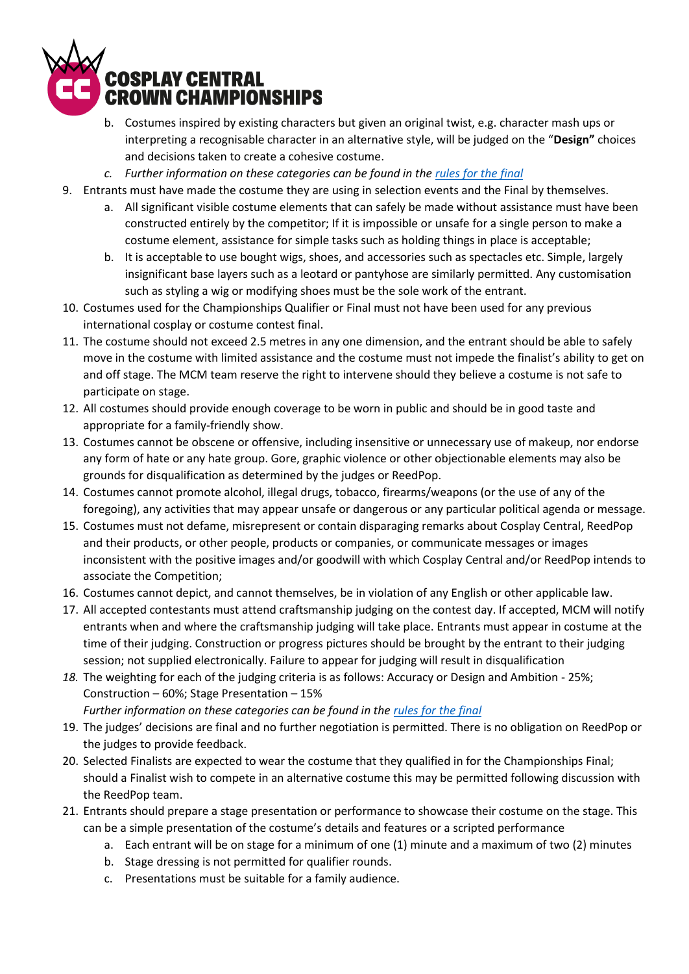

- b. Costumes inspired by existing characters but given an original twist, e.g. character mash ups or interpreting a recognisable character in an alternative style, will be judged on the "**Design"** choices and decisions taken to create a cohesive costume.
- *c. Further information on these categories can be found in the [rules for the final](https://assets.cosplaycentral.com/crown%20championship%20rules%20for%20finalists%202022.pdf)*
- 9. Entrants must have made the costume they are using in selection events and the Final by themselves.
	- a. All significant visible costume elements that can safely be made without assistance must have been constructed entirely by the competitor; If it is impossible or unsafe for a single person to make a costume element, assistance for simple tasks such as holding things in place is acceptable;
	- b. It is acceptable to use bought wigs, shoes, and accessories such as spectacles etc. Simple, largely insignificant base layers such as a leotard or pantyhose are similarly permitted. Any customisation such as styling a wig or modifying shoes must be the sole work of the entrant.
- 10. Costumes used for the Championships Qualifier or Final must not have been used for any previous international cosplay or costume contest final.
- 11. The costume should not exceed 2.5 metres in any one dimension, and the entrant should be able to safely move in the costume with limited assistance and the costume must not impede the finalist's ability to get on and off stage. The MCM team reserve the right to intervene should they believe a costume is not safe to participate on stage.
- 12. All costumes should provide enough coverage to be worn in public and should be in good taste and appropriate for a family-friendly show.
- 13. Costumes cannot be obscene or offensive, including insensitive or unnecessary use of makeup, nor endorse any form of hate or any hate group. Gore, graphic violence or other objectionable elements may also be grounds for disqualification as determined by the judges or ReedPop.
- 14. Costumes cannot promote alcohol, illegal drugs, tobacco, firearms/weapons (or the use of any of the foregoing), any activities that may appear unsafe or dangerous or any particular political agenda or message.
- 15. Costumes must not defame, misrepresent or contain disparaging remarks about Cosplay Central, ReedPop and their products, or other people, products or companies, or communicate messages or images inconsistent with the positive images and/or goodwill with which Cosplay Central and/or ReedPop intends to associate the Competition;
- 16. Costumes cannot depict, and cannot themselves, be in violation of any English or other applicable law.
- 17. All accepted contestants must attend craftsmanship judging on the contest day. If accepted, MCM will notify entrants when and where the craftsmanship judging will take place. Entrants must appear in costume at the time of their judging. Construction or progress pictures should be brought by the entrant to their judging session; not supplied electronically. Failure to appear for judging will result in disqualification
- *18.* The weighting for each of the judging criteria is as follows: Accuracy or Design and Ambition 25%; Construction – 60%; Stage Presentation – 15%
	- *Further information on these categories can be found in the [rules for the final](https://assets.cosplaycentral.com/crown%20championship%20rules%20for%20entrants%202021.pdf)*
- 19. The judges' decisions are final and no further negotiation is permitted. There is no obligation on ReedPop or the judges to provide feedback.
- 20. Selected Finalists are expected to wear the costume that they qualified in for the Championships Final; should a Finalist wish to compete in an alternative costume this may be permitted following discussion with the ReedPop team.
- 21. Entrants should prepare a stage presentation or performance to showcase their costume on the stage. This can be a simple presentation of the costume's details and features or a scripted performance
	- a. Each entrant will be on stage for a minimum of one (1) minute and a maximum of two (2) minutes
	- b. Stage dressing is not permitted for qualifier rounds.
	- c. Presentations must be suitable for a family audience.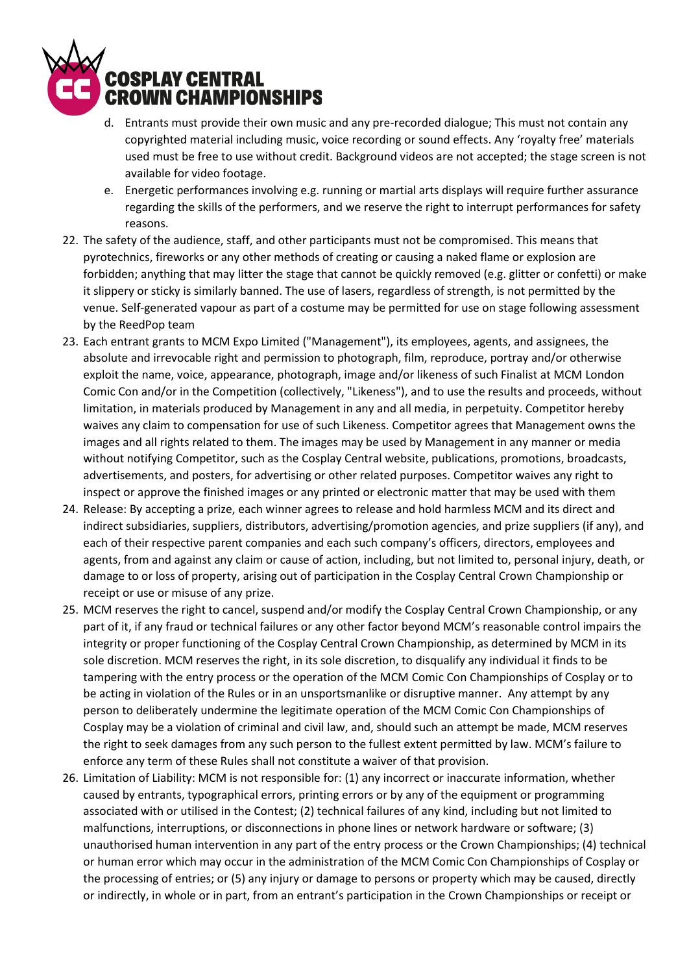

- d. Entrants must provide their own music and any pre-recorded dialogue; This must not contain any copyrighted material including music, voice recording or sound effects. Any 'royalty free' materials used must be free to use without credit. Background videos are not accepted; the stage screen is not available for video footage.
- e. Energetic performances involving e.g. running or martial arts displays will require further assurance regarding the skills of the performers, and we reserve the right to interrupt performances for safety reasons.
- 22. The safety of the audience, staff, and other participants must not be compromised. This means that pyrotechnics, fireworks or any other methods of creating or causing a naked flame or explosion are forbidden; anything that may litter the stage that cannot be quickly removed (e.g. glitter or confetti) or make it slippery or sticky is similarly banned. The use of lasers, regardless of strength, is not permitted by the venue. Self-generated vapour as part of a costume may be permitted for use on stage following assessment by the ReedPop team
- 23. Each entrant grants to MCM Expo Limited ("Management"), its employees, agents, and assignees, the absolute and irrevocable right and permission to photograph, film, reproduce, portray and/or otherwise exploit the name, voice, appearance, photograph, image and/or likeness of such Finalist at MCM London Comic Con and/or in the Competition (collectively, "Likeness"), and to use the results and proceeds, without limitation, in materials produced by Management in any and all media, in perpetuity. Competitor hereby waives any claim to compensation for use of such Likeness. Competitor agrees that Management owns the images and all rights related to them. The images may be used by Management in any manner or media without notifying Competitor, such as the Cosplay Central website, publications, promotions, broadcasts, advertisements, and posters, for advertising or other related purposes. Competitor waives any right to inspect or approve the finished images or any printed or electronic matter that may be used with them
- 24. Release: By accepting a prize, each winner agrees to release and hold harmless MCM and its direct and indirect subsidiaries, suppliers, distributors, advertising/promotion agencies, and prize suppliers (if any), and each of their respective parent companies and each such company's officers, directors, employees and agents, from and against any claim or cause of action, including, but not limited to, personal injury, death, or damage to or loss of property, arising out of participation in the Cosplay Central Crown Championship or receipt or use or misuse of any prize.
- 25. MCM reserves the right to cancel, suspend and/or modify the Cosplay Central Crown Championship, or any part of it, if any fraud or technical failures or any other factor beyond MCM's reasonable control impairs the integrity or proper functioning of the Cosplay Central Crown Championship, as determined by MCM in its sole discretion. MCM reserves the right, in its sole discretion, to disqualify any individual it finds to be tampering with the entry process or the operation of the MCM Comic Con Championships of Cosplay or to be acting in violation of the Rules or in an unsportsmanlike or disruptive manner. Any attempt by any person to deliberately undermine the legitimate operation of the MCM Comic Con Championships of Cosplay may be a violation of criminal and civil law, and, should such an attempt be made, MCM reserves the right to seek damages from any such person to the fullest extent permitted by law. MCM's failure to enforce any term of these Rules shall not constitute a waiver of that provision.
- 26. Limitation of Liability: MCM is not responsible for: (1) any incorrect or inaccurate information, whether caused by entrants, typographical errors, printing errors or by any of the equipment or programming associated with or utilised in the Contest; (2) technical failures of any kind, including but not limited to malfunctions, interruptions, or disconnections in phone lines or network hardware or software; (3) unauthorised human intervention in any part of the entry process or the Crown Championships; (4) technical or human error which may occur in the administration of the MCM Comic Con Championships of Cosplay or the processing of entries; or (5) any injury or damage to persons or property which may be caused, directly or indirectly, in whole or in part, from an entrant's participation in the Crown Championships or receipt or